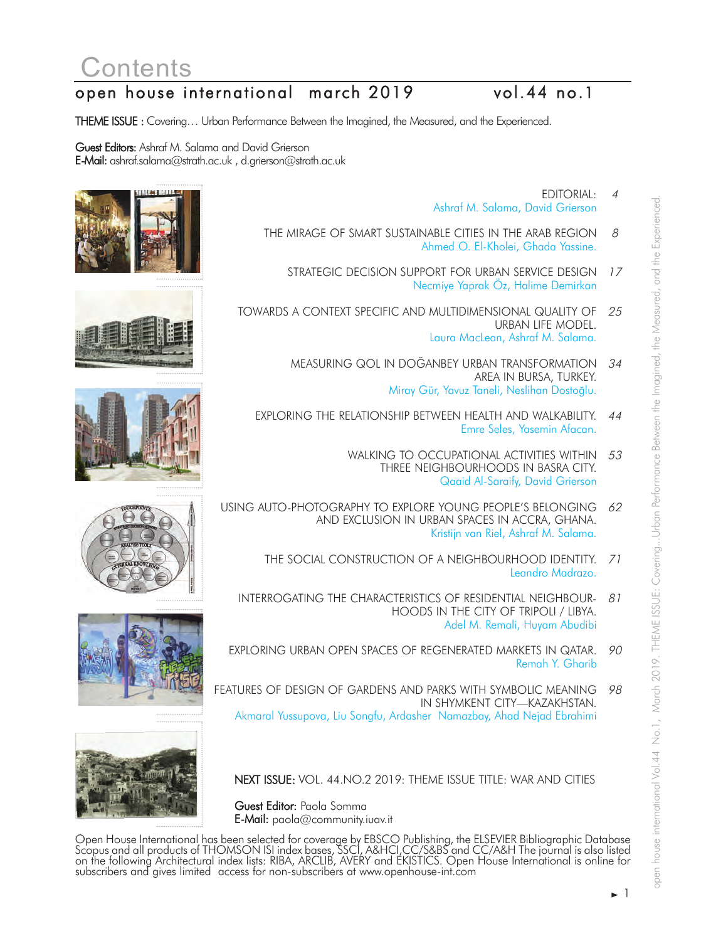# **Contents**

### open house international march 2019 vol.44 no.1

THEME ISSUE : Covering… Urban Performance Between the Imagined, the Measured, and the Experienced.

Guest Editors: Ashraf M. Salama and David Grierson E-Mail: ashraf.salama@strath.ac.uk , d.grierson@strath.ac.uk













EDITOrIAL: Ashraf M. Salama, David Grierson

 $\overline{\mathcal{A}}$ 

- THE MIrAGE OF SMArT SUSTAINABLE CITIES IN THE ArAB rEGION Ahmed O. El-Kholei, Ghada Yassine. 8
	- STrATEGIC DECISION SUPPOrT FOr UrBAN SErVICE DESIGN Necmiye Yaprak Öz, Halime Demirkan 17
- TOWArDS A CONTEXT SPECIFIC AND MULTIDIMENSIONAL QUALITY OF UrBAN LIFE MODEL. Laura MacLean, Ashraf M. Salama. 25
	- MEASUrING QOL IN DOĞANBEY UrBAN TrANSFOrMATION ArEA IN BUrSA, TUrKEY. Miray Gür, Yavuz Taneli, Neslihan Dostoğlu. 34
	- EXPLOrING THE rELATIONSHIP BETWEEN HEALTH AND WALKABILITY. Emre Seles, Yasemin Afacan. 44
		- WALKING TO OCCUPATIONAL ACTIVITIES WITHIN THrEE NEIGHBOUrHOODS IN BASrA CITY. Qaaid Al-Saraify, David Grierson 53
- USING AUTO-PHOTOGrAPHY TO EXPLOrE YOUNG PEOPLE'S BELONGING AND EXCLUSION IN UrBAN SPACES IN ACCrA, GHANA. Kristijn van Riel, Ashraf M. Salama. 62
	- THE SOCIAL CONSTrUCTION OF A NEIGHBOUrHOOD IDENTITY. Leandro Madrazo. 71
	- INTErrOGATING THE CHArACTErISTICS OF rESIDENTIAL NEIGHBOUr-HOODS IN THE CITY OF TrIPOLI / LIBYA. Adel M. Remali, Huyam Abudibi 81
	- EXPLOrING UrBAN OPEN SPACES OF rEGENErATED MArKETS IN QATAr. Remah Y. Gharib  $90$
- FEATUrES OF DESIGN OF GArDENS AND PArKS WITH SYMBOLIC MEANING IN SHYMKENT CITY—KAZAKHSTAN. Akmaral Yussupova, Liu Songfu, Ardasher Namazbay, Ahad Nejad Ebrahimi 98

NEXT ISSUE: VOL. 44.NO.2 2019: THEME ISSUE TITLE: WAr AND CITIES

Guest Editor: Paola Somma E-Mail: paola@community.iuav.it

Open House International has been selected for coverage by EBSCO Publishing, the ELSEVIEr Bibliographic Database Scopus and all products of THOMSON ISI index bases, SSCI, A&HCI,CC/S&BS and CC/A&H The journal is also listed on the following Architectural index lists: rIBA, ArCLIB, AVErY and EKISTICS. Open House International is online for subscribers and gives limited access for non-subscribers at www.openhouse-int.com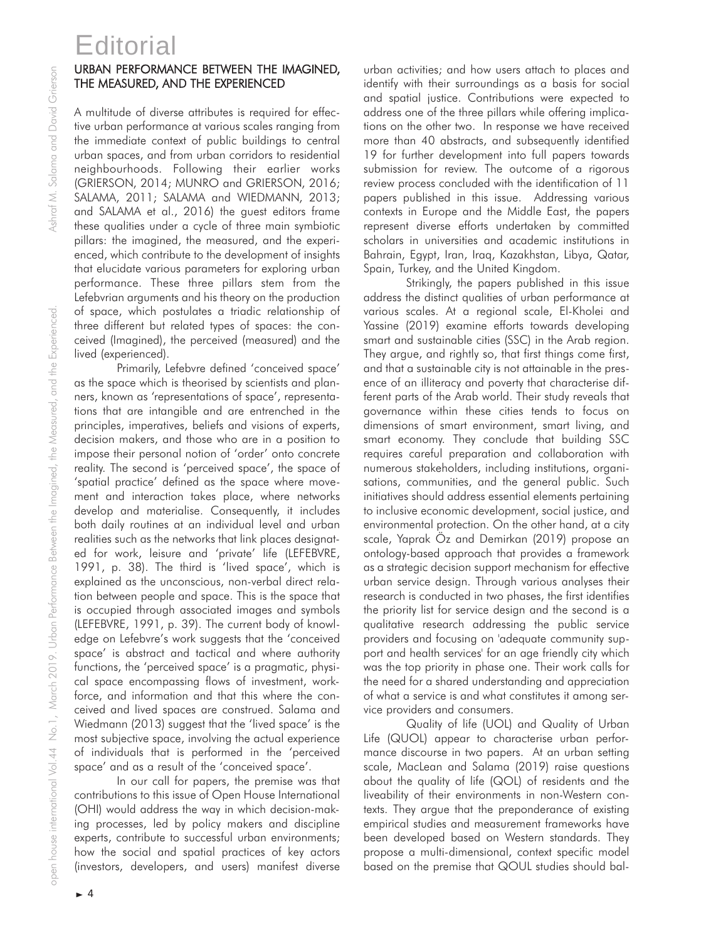## **Editorial**

#### URBAN PERFORMANCE BETWEEN THE IMAGINED, THE MEASURED, AND THE EXPERIENCED

a multitude of diverse attributes is required for effective urban performance at various scales ranging from the immediate context of public buildings to central urban spaces, and from urban corridors to residential neighbourhoods. following their earlier works (GRIERSON, 2014; MUNRO and GRIERSON, 2016; SALAMA, 2011; SALAMA and WIEDMANN, 2013; and SALAMA et al., 2016) the guest editors frame these qualities under a cycle of three main symbiotic pillars: the imagined, the measured, and the experienced, which contribute to the development of insights that elucidate various parameters for exploring urban performance. These three pillars stem from the Lefebvrian arguments and his theory on the production of space, which postulates a triadic relationship of three different but related types of spaces: the conceived (Imagined), the perceived (measured) and the lived (experienced).

Primarily, Lefebvre defined 'conceived space' as the space which is theorised by scientists and planners, known as 'representations of space', representations that are intangible and are entrenched in the principles, imperatives, beliefs and visions of experts, decision makers, and those who are in a position to impose their personal notion of 'order' onto concrete reality. The second is 'perceived space', the space of 'spatial practice' defined as the space where movement and interaction takes place, where networks develop and materialise. Consequently, it includes both daily routines at an individual level and urban realities such as the networks that link places designated for work, leisure and 'private' life (LEFEBVRE, 1991, p. 38). The third is 'lived space', which is explained as the unconscious, non-verbal direct relation between people and space. This is the space that is occupied through associated images and symbols (LEFEBVRE, 1991, p. 39). The current body of knowledge on Lefebvre's work suggests that the 'conceived space' is abstract and tactical and where authority functions, the 'perceived space' is a pragmatic, physical space encompassing flows of investment, workforce, and information and that this where the conceived and lived spaces are construed. salama and wiedmann (2013) suggest that the 'lived space' is the most subjective space, involving the actual experience of individuals that is performed in the 'perceived space' and as a result of the 'conceived space'.

In our call for papers, the premise was that contributions to this issue of Open House International (OHI) would address the way in which decision-making processes, led by policy makers and discipline experts, contribute to successful urban environments; how the social and spatial practices of key actors (investors, developers, and users) manifest diverse

urban activities; and how users attach to places and identify with their surroundings as a basis for social and spatial justice. contributions were expected to address one of the three pillars while offering implications on the other two. In response we have received more than 40 abstracts, and subsequently identified 19 for further development into full papers towards submission for review. The outcome of a rigorous review process concluded with the identification of 11 papers published in this issue. Addressing various contexts in Europe and the Middle East, the papers represent diverse efforts undertaken by committed scholars in universities and academic institutions in bahrain, egypt, Iran, Iraq, Kazakhstan, Libya, Qatar, Spain, Turkey, and the United Kingdom.

strikingly, the papers published in this issue address the distinct qualities of urban performance at various scales. At a regional scale, El-Kholei and Yassine (2019) examine efforts towards developing smart and sustainable cities (SSC) in the Arab region. They argue, and rightly so, that first things come first, and that a sustainable city is not attainable in the presence of an illiteracy and poverty that characterise different parts of the Arab world. Their study reveals that governance within these cities tends to focus on dimensions of smart environment, smart living, and smart economy. They conclude that building SSC requires careful preparation and collaboration with numerous stakeholders, including institutions, organisations, communities, and the general public. Such initiatives should address essential elements pertaining to inclusive economic development, social justice, and environmental protection. On the other hand, at a city scale, Yaprak Öz and Demirkan (2019) propose an ontology-based approach that provides a framework as a strategic decision support mechanism for effective urban service design. Through various analyses their research is conducted in two phases, the first identifies the priority list for service design and the second is a qualitative research addressing the public service providers and focusing on 'adequate community support and health services' for an age friendly city which was the top priority in phase one. Their work calls for the need for a shared understanding and appreciation of what a service is and what constitutes it among service providers and consumers.

Quality of life (UOL) and Quality of Urban Life (QUOL) appear to characterise urban performance discourse in two papers. At an urban setting scale, macLean and salama (2019) raise questions about the quality of life (QoL) of residents and the liveability of their environments in non-western contexts. They argue that the preponderance of existing empirical studies and measurement frameworks have been developed based on Western standards. They propose a multi-dimensional, context specific model based on the premise that QoUL studies should bal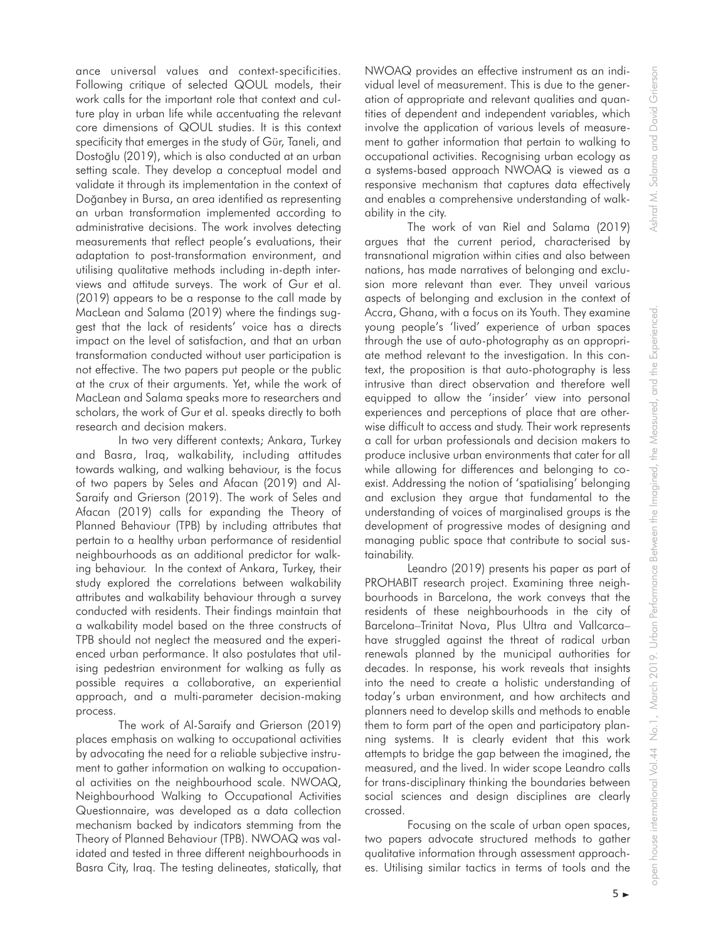ance universal values and context-specificities. following critique of selected QoUL models, their work calls for the important role that context and culture play in urban life while accentuating the relevant core dimensions of QoUL studies. It is this context specificity that emerges in the study of Gür, Taneli, and Dostoğlu (2019), which is also conducted at an urban setting scale. They develop a conceptual model and validate it through its implementation in the context of Doğanbey in Bursa, an area identified as representing an urban transformation implemented according to administrative decisions. The work involves detecting measurements that reflect people's evaluations, their adaptation to post-transformation environment, and utilising qualitative methods including in-depth interviews and attitude surveys. The work of Gur et al. (2019) appears to be a response to the call made by MacLean and Salama (2019) where the findings suggest that the lack of residents' voice has a directs impact on the level of satisfaction, and that an urban transformation conducted without user participation is not effective. The two papers put people or the public at the crux of their arguments. Yet, while the work of macLean and salama speaks more to researchers and scholars, the work of Gur et al. speaks directly to both research and decision makers.

In two very different contexts; Ankara, Turkey and basra, Iraq, walkability, including attitudes towards walking, and walking behaviour, is the focus of two papers by Seles and Afacan (2019) and Al-Saraify and Grierson (2019). The work of Seles and Afacan (2019) calls for expanding the Theory of Planned Behaviour (TPB) by including attributes that pertain to a healthy urban performance of residential neighbourhoods as an additional predictor for walking behaviour. In the context of Ankara, Turkey, their study explored the correlations between walkability attributes and walkability behaviour through a survey conducted with residents. Their findings maintain that a walkability model based on the three constructs of tPb should not neglect the measured and the experienced urban performance. It also postulates that utilising pedestrian environment for walking as fully as possible requires a collaborative, an experiential approach, and a multi-parameter decision-making process.

The work of Al-Saraify and Grierson (2019) places emphasis on walking to occupational activities by advocating the need for a reliable subjective instrument to gather information on walking to occupational activities on the neighbourhood scale. NWOAQ, Neighbourhood Walking to Occupational Activities Questionnaire, was developed as a data collection mechanism backed by indicators stemming from the Theory of Planned Behaviour (TPB). NWOAQ was validated and tested in three different neighbourhoods in Basra City, Iraq. The testing delineates, statically, that nwoaQ provides an effective instrument as an individual level of measurement. This is due to the generation of appropriate and relevant qualities and quantities of dependent and independent variables, which involve the application of various levels of measurement to gather information that pertain to walking to occupational activities. Recognising urban ecology as a systems-based approach nwoaQ is viewed as a responsive mechanism that captures data effectively and enables a comprehensive understanding of walkability in the city.

The work of van Riel and Salama (2019) argues that the current period, characterised by transnational migration within cities and also between nations, has made narratives of belonging and exclusion more relevant than ever. They unveil various aspects of belonging and exclusion in the context of Accra, Ghana, with a focus on its Youth. They examine young people's 'lived' experience of urban spaces through the use of auto-photography as an appropriate method relevant to the investigation. In this context, the proposition is that auto-photography is less intrusive than direct observation and therefore well equipped to allow the 'insider' view into personal experiences and perceptions of place that are otherwise difficult to access and study. Their work represents a call for urban professionals and decision makers to produce inclusive urban environments that cater for all while allowing for differences and belonging to coexist. Addressing the notion of 'spatialising' belonging and exclusion they argue that fundamental to the understanding of voices of marginalised groups is the development of progressive modes of designing and managing public space that contribute to social sustainability.

Leandro (2019) presents his paper as part of PROHABIT research project. Examining three neighbourhoods in barcelona, the work conveys that the residents of these neighbourhoods in the city of Barcelona–Trinitat Nova, Plus Ultra and Vallcarca– have struggled against the threat of radical urban renewals planned by the municipal authorities for decades. In response, his work reveals that insights into the need to create a holistic understanding of today's urban environment, and how architects and planners need to develop skills and methods to enable them to form part of the open and participatory planning systems. It is clearly evident that this work attempts to bridge the gap between the imagined, the measured, and the lived. In wider scope Leandro calls for trans-disciplinary thinking the boundaries between social sciences and design disciplines are clearly crossed.

focusing on the scale of urban open spaces, two papers advocate structured methods to gather qualitative information through assessment approaches. Utilising similar tactics in terms of tools and the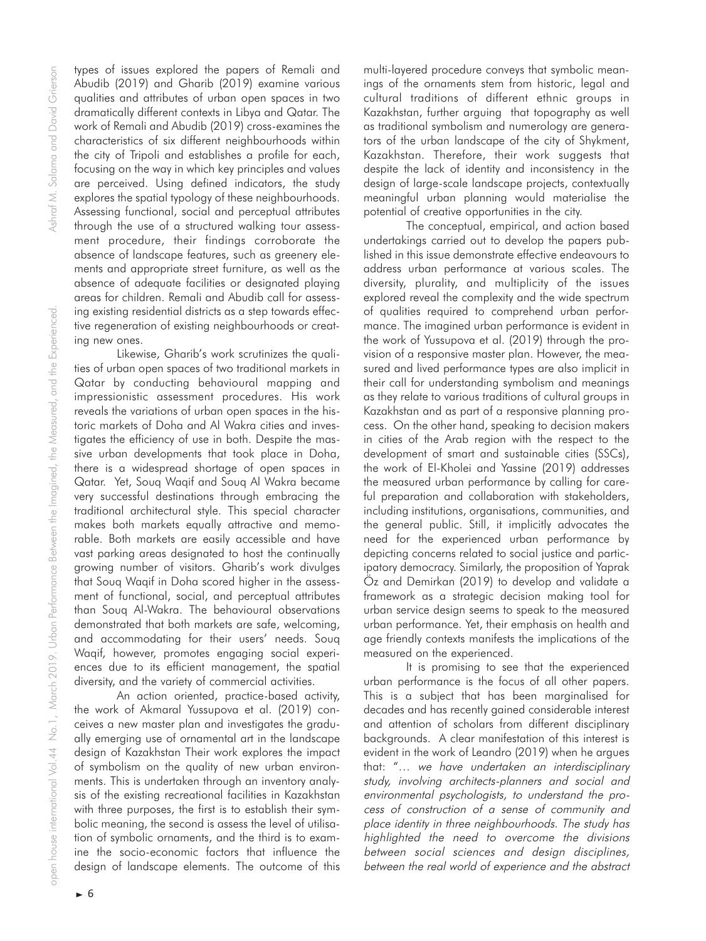apen house international Vol.44 No.1, March 2019. Urban Performance Between the Imagined, the Measured, and the Experienced. Ashraf M. Salama and David Grierson open house international Vol.44 No.1, March 2019. Urban Performance Between the Imagined, the Measured, and the Experienced

types of issues explored the papers of Remali and Abudib (2019) and Gharib (2019) examine various qualities and attributes of urban open spaces in two dramatically different contexts in Libya and Qatar. The work of Remali and Abudib (2019) cross-examines the characteristics of six different neighbourhoods within the city of Tripoli and establishes a profile for each, focusing on the way in which key principles and values are perceived. Using defined indicators, the study explores the spatial typology of these neighbourhoods. Assessing functional, social and perceptual attributes through the use of a structured walking tour assessment procedure, their findings corroborate the absence of landscape features, such as greenery elements and appropriate street furniture, as well as the absence of adequate facilities or designated playing areas for children. Remali and Abudib call for assessing existing residential districts as a step towards effective regeneration of existing neighbourhoods or creating new ones.

Likewise, gharib's work scrutinizes the qualities of urban open spaces of two traditional markets in Qatar by conducting behavioural mapping and impressionistic assessment procedures. his work reveals the variations of urban open spaces in the historic markets of Doha and Al Wakra cities and investigates the efficiency of use in both. Despite the massive urban developments that took place in Doha, there is a widespread shortage of open spaces in Qatar. Yet, souq waqif and souq al wakra became very successful destinations through embracing the traditional architectural style. This special character makes both markets equally attractive and memorable. both markets are easily accessible and have vast parking areas designated to host the continually growing number of visitors. Gharib's work divulges that Soug Wagif in Doha scored higher in the assessment of functional, social, and perceptual attributes than Soug Al-Wakra. The behavioural observations demonstrated that both markets are safe, welcoming, and accommodating for their users' needs. Soug waqif, however, promotes engaging social experiences due to its efficient management, the spatial diversity, and the variety of commercial activities.

An action oriented, practice-based activity, the work of akmaral Yussupova et al. (2019) conceives a new master plan and investigates the gradually emerging use of ornamental art in the landscape design of Kazakhstan Their work explores the impact of symbolism on the quality of new urban environments. This is undertaken through an inventory analysis of the existing recreational facilities in Kazakhstan with three purposes, the first is to establish their symbolic meaning, the second is assess the level of utilisation of symbolic ornaments, and the third is to examine the socio-economic factors that influence the design of landscape elements. The outcome of this

multi-layered procedure conveys that symbolic meanings of the ornaments stem from historic, legal and cultural traditions of different ethnic groups in Kazakhstan, further arguing that topography as well as traditional symbolism and numerology are generators of the urban landscape of the city of shykment, Kazakhstan. Therefore, their work suggests that despite the lack of identity and inconsistency in the design of large-scale landscape projects, contextually meaningful urban planning would materialise the potential of creative opportunities in the city.

The conceptual, empirical, and action based undertakings carried out to develop the papers published in this issue demonstrate effective endeavours to address urban performance at various scales. The diversity, plurality, and multiplicity of the issues explored reveal the complexity and the wide spectrum of qualities required to comprehend urban performance. The imagined urban performance is evident in the work of Yussupova et al. (2019) through the provision of a responsive master plan. however, the measured and lived performance types are also implicit in their call for understanding symbolism and meanings as they relate to various traditions of cultural groups in Kazakhstan and as part of a responsive planning process. On the other hand, speaking to decision makers in cities of the Arab region with the respect to the development of smart and sustainable cities (SSCs), the work of el-Kholei and Yassine (2019) addresses the measured urban performance by calling for careful preparation and collaboration with stakeholders, including institutions, organisations, communities, and the general public. still, it implicitly advocates the need for the experienced urban performance by depicting concerns related to social justice and participatory democracy. similarly, the proposition of Yaprak Öz and Demirkan (2019) to develop and validate a framework as a strategic decision making tool for urban service design seems to speak to the measured urban performance. Yet, their emphasis on health and age friendly contexts manifests the implications of the measured on the experienced.

It is promising to see that the experienced urban performance is the focus of all other papers. This is a subject that has been marginalised for decades and has recently gained considerable interest and attention of scholars from different disciplinary backgrounds. A clear manifestation of this interest is evident in the work of Leandro (2019) when he argues that: "… we have undertaken an interdisciplinary study, involving architects-planners and social and environmental psychologists, to understand the process of construction of a sense of community and <sup>p</sup>lace identity in three neighbourhoods. The study has highlighted the need to overcome the divisions between social sciences and design disciplines, between the real world of experience and the abstract